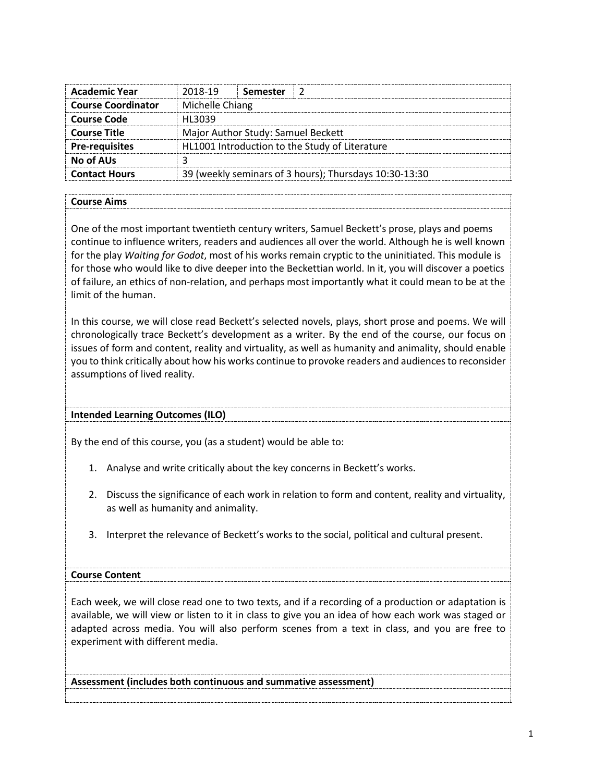| <b>Academic Year</b>      | 2018-19         | Semester                           |                                                        |
|---------------------------|-----------------|------------------------------------|--------------------------------------------------------|
| <b>Course Coordinator</b> | Michelle Chiang |                                    |                                                        |
| <b>Course Code</b>        | HI 3039         |                                    |                                                        |
| <b>Course Title</b>       |                 | Major Author Study: Samuel Beckett |                                                        |
| <b>Pre-requisites</b>     |                 |                                    | HL1001 Introduction to the Study of Literature         |
| No of AUs                 |                 |                                    |                                                        |
| <b>Contact Hours</b>      |                 |                                    | 39 (weekly seminars of 3 hours); Thursdays 10:30-13:30 |

# **Course Aims**

One of the most important twentieth century writers, Samuel Beckett's prose, plays and poems continue to influence writers, readers and audiences all over the world. Although he is well known for the play *Waiting for Godot*, most of his works remain cryptic to the uninitiated. This module is for those who would like to dive deeper into the Beckettian world. In it, you will discover a poetics of failure, an ethics of non-relation, and perhaps most importantly what it could mean to be at the limit of the human.

In this course, we will close read Beckett's selected novels, plays, short prose and poems. We will chronologically trace Beckett's development as a writer. By the end of the course, our focus on issues of form and content, reality and virtuality, as well as humanity and animality, should enable you to think critically about how his works continue to provoke readers and audiences to reconsider assumptions of lived reality.

#### **Intended Learning Outcomes (ILO)**

By the end of this course, you (as a student) would be able to:

- 1. Analyse and write critically about the key concerns in Beckett's works.
- 2. Discuss the significance of each work in relation to form and content, reality and virtuality, as well as humanity and animality.
- 3. Interpret the relevance of Beckett's works to the social, political and cultural present.

#### **Course Content**

Each week, we will close read one to two texts, and if a recording of a production or adaptation is available, we will view or listen to it in class to give you an idea of how each work was staged or adapted across media. You will also perform scenes from a text in class, and you are free to experiment with different media.

**Assessment (includes both continuous and summative assessment)**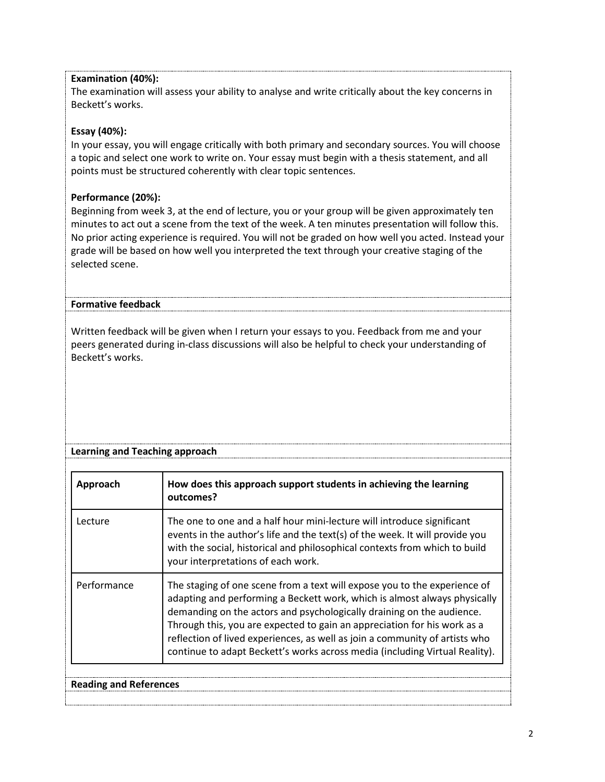# **Examination (40%):**

The examination will assess your ability to analyse and write critically about the key concerns in Beckett's works.

# **Essay (40%):**

In your essay, you will engage critically with both primary and secondary sources. You will choose a topic and select one work to write on. Your essay must begin with a thesis statement, and all points must be structured coherently with clear topic sentences.

# **Performance (20%):**

Beginning from week 3, at the end of lecture, you or your group will be given approximately ten minutes to act out a scene from the text of the week. A ten minutes presentation will follow this. No prior acting experience is required. You will not be graded on how well you acted. Instead your grade will be based on how well you interpreted the text through your creative staging of the selected scene.

# **Formative feedback**

Written feedback will be given when I return your essays to you. Feedback from me and your peers generated during in-class discussions will also be helpful to check your understanding of Beckett's works.

|  |  |  |  | <b>Learning and Teaching approach</b> |
|--|--|--|--|---------------------------------------|
|--|--|--|--|---------------------------------------|

| Approach                 | How does this approach support students in achieving the learning<br>outcomes?                                                                                                                                                                                                                                                                                                                                                                                            |
|--------------------------|---------------------------------------------------------------------------------------------------------------------------------------------------------------------------------------------------------------------------------------------------------------------------------------------------------------------------------------------------------------------------------------------------------------------------------------------------------------------------|
| Lecture                  | The one to one and a half hour mini-lecture will introduce significant<br>events in the author's life and the text(s) of the week. It will provide you<br>with the social, historical and philosophical contexts from which to build<br>your interpretations of each work.                                                                                                                                                                                                |
| Performance              | The staging of one scene from a text will expose you to the experience of<br>adapting and performing a Beckett work, which is almost always physically<br>demanding on the actors and psychologically draining on the audience.<br>Through this, you are expected to gain an appreciation for his work as a<br>reflection of lived experiences, as well as join a community of artists who<br>continue to adapt Beckett's works across media (including Virtual Reality). |
| <b>Reading and Refer</b> |                                                                                                                                                                                                                                                                                                                                                                                                                                                                           |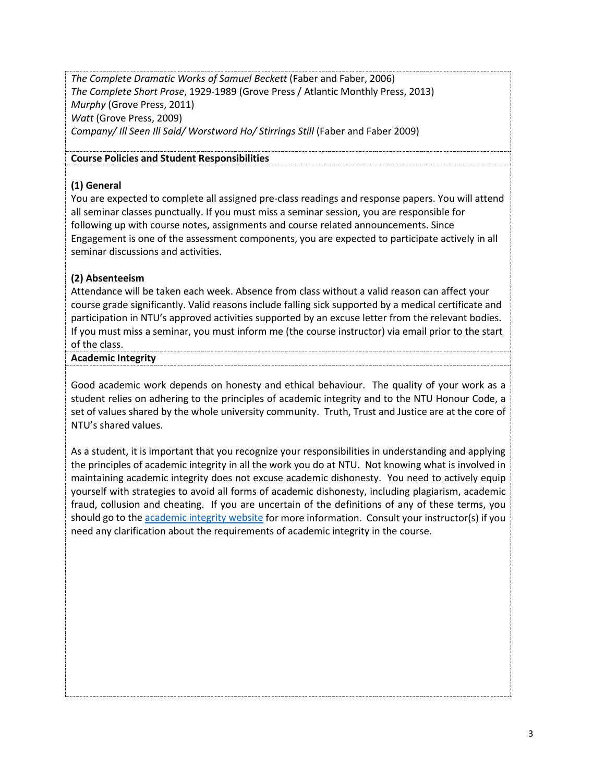*The Complete Dramatic Works of Samuel Beckett* (Faber and Faber, 2006) *The Complete Short Prose*, 1929-1989 (Grove Press / Atlantic Monthly Press, 2013) *Murphy* (Grove Press, 2011) *Watt* (Grove Press, 2009) *Company/ Ill Seen Ill Said/ Worstword Ho/ Stirrings Still* (Faber and Faber 2009)

### **Course Policies and Student Responsibilities**

### **(1) General**

You are expected to complete all assigned pre-class readings and response papers. You will attend all seminar classes punctually. If you must miss a seminar session, you are responsible for following up with course notes, assignments and course related announcements. Since Engagement is one of the assessment components, you are expected to participate actively in all seminar discussions and activities.

# **(2) Absenteeism**

Attendance will be taken each week. Absence from class without a valid reason can affect your course grade significantly. Valid reasons include falling sick supported by a medical certificate and participation in NTU's approved activities supported by an excuse letter from the relevant bodies. If you must miss a seminar, you must inform me (the course instructor) via email prior to the start of the class.

#### **Academic Integrity**

Good academic work depends on honesty and ethical behaviour. The quality of your work as a student relies on adhering to the principles of academic integrity and to the NTU Honour Code, a set of values shared by the whole university community. Truth, Trust and Justice are at the core of NTU's shared values.

As a student, it is important that you recognize your responsibilities in understanding and applying the principles of academic integrity in all the work you do at NTU. Not knowing what is involved in maintaining academic integrity does not excuse academic dishonesty. You need to actively equip yourself with strategies to avoid all forms of academic dishonesty, including plagiarism, academic fraud, collusion and cheating. If you are uncertain of the definitions of any of these terms, you should go to th[e academic integrity website](http://www.ntu.edu.sg/ai/ForEveryone/Pages/NTUAcademicIntegrityPolicy.aspx) for more information. Consult your instructor(s) if you need any clarification about the requirements of academic integrity in the course.